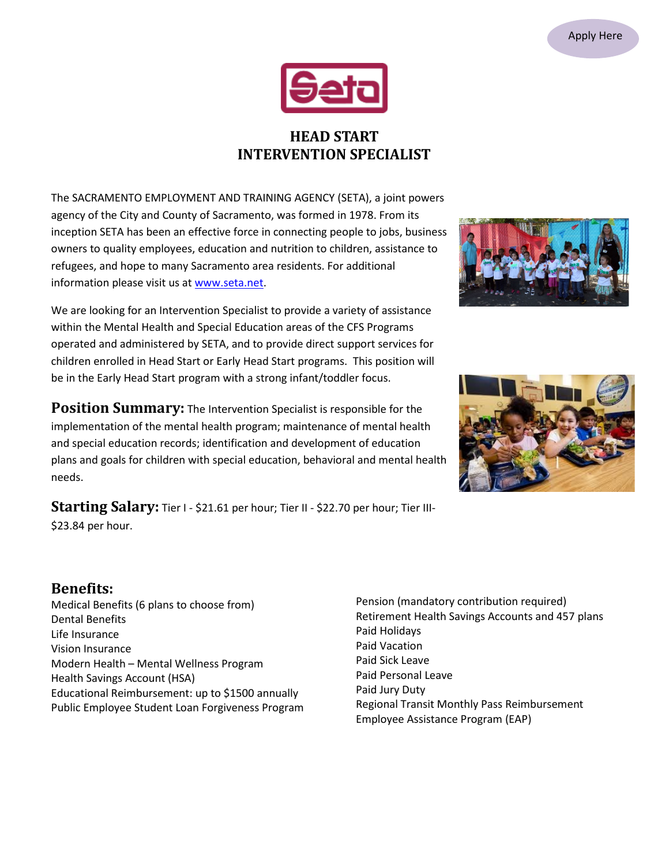

## **HEAD START INTERVENTION SPECIALIST**

The SACRAMENTO EMPLOYMENT AND TRAINING AGENCY (SETA), a joint powers agency of the City and County of Sacramento, was formed in 1978. From its inception SETA has been an effective force in connecting people to jobs, business owners to quality employees, education and nutrition to children, assistance to refugees, and hope to many Sacramento area residents. For additional information please visit us at [www.seta.net.](http://www.seta.net/)

We are looking for an Intervention Specialist to provide a variety of assistance within the Mental Health and Special Education areas of the CFS Programs operated and administered by SETA, and to provide direct support services for children enrolled in Head Start or Early Head Start programs. This position will be in the Early Head Start program with a strong infant/toddler focus.

**Position Summary:** The Intervention Specialist is responsible for the implementation of the mental health program; maintenance of mental health and special education records; identification and development of education plans and goals for children with special education, behavioral and mental health needs.

**Starting Salary:** Tier I - \$21.61 per hour; Tier II - \$22.70 per hour; Tier III- \$23.84 per hour.

## **Benefits:**

Medical Benefits (6 plans to choose from) Dental Benefits Life Insurance Vision Insurance Modern Health – Mental Wellness Program Health Savings Account (HSA) Educational Reimbursement: up to \$1500 annually Public Employee Student Loan Forgiveness Program Pension (mandatory contribution required) Retirement Health Savings Accounts and 457 plans Paid Holidays Paid Vacation Paid Sick Leave Paid Personal Leave Paid Jury Duty Regional Transit Monthly Pass Reimbursement Employee Assistance Program (EAP)